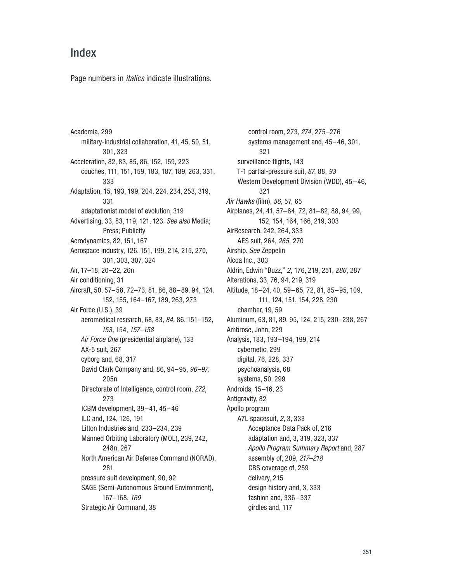## Index

Page numbers in *italics* indicate illustrations.

Academia, 299 military-industrial collaboration, 41, 45, 50, 51, 301, 323 Acceleration, 82, 83, 85, 86, 152, 159, 223 couches, 111, 151, 159, 183, 187, 189, 263, 331, 333 Adaptation, 15, 193, 199, 204, 224, 234, 253, 319, 331 adaptationist model of evolution, 319 Advertising, 33, 83, 119, 121, 123. See also Media; Press; Publicity Aerodynamics, 82, 151, 167 Aerospace industry, 126, 151, 199, 214, 215, 270, 301, 303, 307, 324 Air, 17–18, 20–22, 26n Air conditioning, 31 Aircraft, 50, 57–58, 72–73, 81, 86, 88–89, 94, 124, 152, 155, 164–167, 189, 263, 273 Air Force (U.S.), 39 aeromedical research, 68, 83, 84, 86, 151–152, 153, 154, 157–158 Air Force One (presidential airplane), 133 AX-5 suit, 267 cyborg and, 68, 317 David Clark Company and, 86, 94–95, 96–97, 205n Directorate of Intelligence, control room, 272, 273 ICBM development, 39–41, 45–46 ILC and, 124, 126, 191 Litton Industries and, 233–234, 239 Manned Orbiting Laboratory (MOL), 239, 242, 248n, 267 North American Air Defense Command (NORAD), 281 pressure suit development, 90, 92 SAGE (Semi-Autonomous Ground Environment), 167–168, 169 Strategic Air Command, 38

control room, 273, 274, 275–276 systems management and, 45–46, 301, 321 surveillance flights, 143 T-1 partial-pressure suit, 87, 88, 93 Western Development Division (WDD), 45–46, 321 Air Hawks (film), 56, 57, 65 Airplanes, 24, 41, 57–64, 72, 81–82, 88, 94, 99, 152, 154, 164, 166, 219, 303 AirResearch, 242, 264, 333 AES suit, 264, 265, 270 Airship. See Zeppelin Alcoa Inc., 303 Aldrin, Edwin "Buzz," 2, 176, 219, 251, 286, 287 Alterations, 33, 76, 94, 219, 319 Altitude, 18–24, 40, 59–65, 72, 81, 85–95, 109, 111, 124, 151, 154, 228, 230 chamber, 19, 59 Aluminum, 63, 81, 89, 95, 124, 215, 230–238, 267 Ambrose, John, 229 Analysis, 183, 193–194, 199, 214 cybernetic, 299 digital, 76, 228, 337 psychoanalysis, 68 systems, 50, 299 Androids, 15–16, 23 Antigravity, 82 Apollo program A7L spacesuit, 2, 3, 333 Acceptance Data Pack of, 216 adaptation and, 3, 319, 323, 337 Apollo Program Summary Report and, 287 assembly of, 209, 217–218 CBS coverage of, 259 delivery, 215 design history and, 3, 333 fashion and, 336–337 girdles and, 117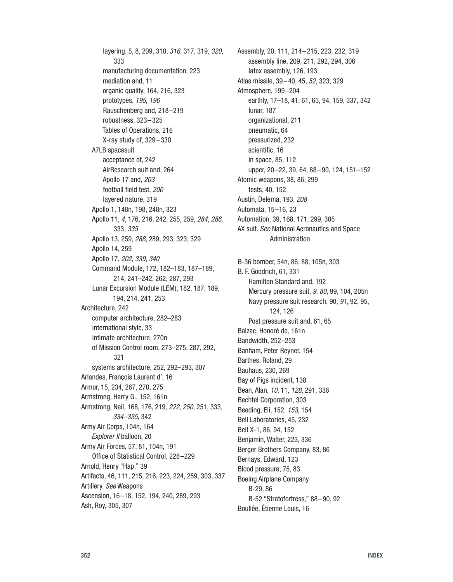layering, 5, 8, 209, 310, 316, 317, 319, 320, 333 manufacturing documentation, 223 mediation and, 11 organic quality, 164, 216, 323 prototypes, 195, 196 Rauschenberg and, 218–219 robustness, 323–325 Tables of Operations, 216 X-ray study of, 329–330 A7LB spacesuit acceptance of, 242 AirResearch suit and, 264 Apollo 17 and, 203 football field test, 200 layered nature, 319 Apollo 1, 148n, 198, 248n, 323 Apollo 11, 4, 176, 216, 242, 255, 259, 284, 286, 333, 335 Apollo 13, 259, 288, 289, 293, 323, 329 Apollo 14, 259 Apollo 17, 202, 339, 340 Command Module, 172, 182–183, 187–189, 214, 241–242, 262, 287, 293 Lunar Excursion Module (LEM), 182, 187, 189, 194, 214, 241, 253 Architecture, 242 computer architecture, 282–283 international style, 33 intimate architecture, 270n of Mission Control room, 273–275, 287, 292, 321 systems architecture, 252, 292–293, 307 Arlandes, François Laurent d', 16 Armor, 15, 234, 267, 270, 275 Armstrong, Harry G., 152, 161n Armstrong, Neil, 168, 176, 219, 222, 250, 251, 333, 334–335, 342 Army Air Corps, 104n, 164 Explorer II balloon, 20 Army Air Forces, 57, 81, 104n, 191 Office of Statistical Control, 228–229 Arnold, Henry "Hap," 39 Artifacts, 46, 111, 215, 216, 223, 224, 259, 303, 337 Artillery. See Weapons Ascension, 16–18, 152, 194, 240, 289, 293 Ash, Roy, 305, 307

Assembly, 20, 111, 214–215, 223, 232, 319 assembly line, 209, 211, 292, 294, 306 latex assembly, 126, 193 Atlas missile, 39–40, 45, 52, 323, 329 Atmosphere, 199–204 earthly, 17–18, 41, 61, 65, 94, 159, 337, 342 lunar, 187 organizational, 211 pneumatic, 64 pressurized, 232 scientific, 16 in space, 85, 112 upper, 20–22, 39, 64, 88–90, 124, 151–152 Atomic weapons, 38, 86, 299 tests, 40, 152 Austin, Delema, 193, 208 Automata, 15–16, 23 Automation, 39, 168, 171, 299, 305 AX suit. See National Aeronautics and Space Administration B-36 bomber, 54n, 86, 88, 105n, 303 B. F. Goodrich, 61, 331 Hamilton Standard and, 192 Mercury pressure suit, 9, 80, 99, 104, 205n Navy pressure suit research, 90, 91, 92, 95, 124, 126 Post pressure suit and, 61, 65

Balzac, Honoré de, 161n Bandwidth, 252–253 Banham, Peter Reyner, 154 Barthes, Roland, 29 Bauhaus, 230, 269 Bay of Pigs incident, 138 Bean, Alan, 10, 11, 128, 291, 336 Bechtel Corporation, 303 Beeding, Eli, 152, 153, 154 Bell Laboratories, 45, 232 Bell X-1, 86, 94, 152 Benjamin, Walter, 223, 336 Berger Brothers Company, 83, 86

Bernays, Edward, 123 Blood pressure, 75, 83 Boeing Airplane Company B-29, 86

Boullée, Étienne Louis, 16

B-52 "Stratofortress," 88–90, 92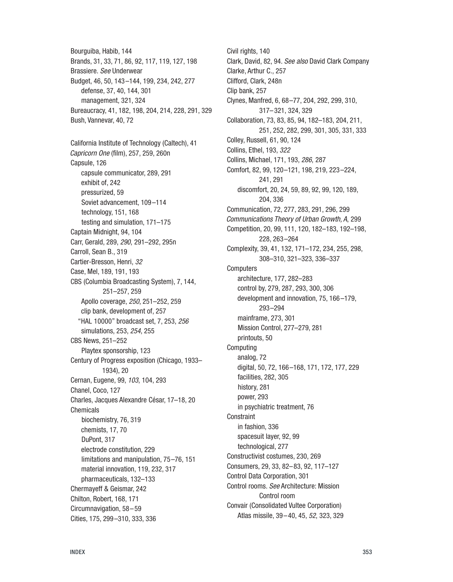Bourguiba, Habib, 144 Brands, 31, 33, 71, 86, 92, 117, 119, 127, 198 Brassiere. See Underwear Budget, 46, 50, 143–144, 199, 234, 242, 277 defense, 37, 40, 144, 301 management, 321, 324 Bureaucracy, 41, 182, 198, 204, 214, 228, 291, 329 Bush, Vannevar, 40, 72 California Institute of Technology (Caltech), 41 Capricorn One (film), 257, 259, 260n Capsule, 126 capsule communicator, 289, 291 exhibit of, 242 pressurized, 59 Soviet advancement, 109–114 technology, 151, 168 testing and simulation, 171–175 Captain Midnight, 94, 104 Carr, Gerald, 289, 290, 291–292, 295n Carroll, Sean B., 319 Cartier-Bresson, Henri, 32 Case, Mel, 189, 191, 193 CBS (Columbia Broadcasting System), 7, 144, 251–257, 259 Apollo coverage, 250, 251–252, 259 clip bank, development of, 257 "HAL 10000" broadcast set, 7, 253, 256 simulations, 253, 254, 255 CBS News, 251–252 Playtex sponsorship, 123 Century of Progress exposition (Chicago, 1933– 1934), 20 Cernan, Eugene, 99, 103, 104, 293 Chanel, Coco, 127 Charles, Jacques Alexandre César, 17–18, 20 Chemicals biochemistry, 76, 319 chemists, 17, 70 DuPont, 317 electrode constitution, 229 limitations and manipulation, 75–76, 151 material innovation, 119, 232, 317 pharmaceuticals, 132–133 Chermayeff & Geismar, 242 Chilton, Robert, 168, 171 Circumnavigation, 58–59 Cities, 175, 299–310, 333, 336

Civil rights, 140 Clark, David, 82, 94. See also David Clark Company Clarke, Arthur C., 257 Clifford, Clark, 248n Clip bank, 257 Clynes, Manfred, 6, 68–77, 204, 292, 299, 310, 317–321, 324, 329 Collaboration, 73, 83, 85, 94, 182–183, 204, 211, 251, 252, 282, 299, 301, 305, 331, 333 Colley, Russell, 61, 90, 124 Collins, Ethel, 193, 322 Collins, Michael, 171, 193, 286, 287 Comfort, 82, 99, 120–121, 198, 219, 223–224, 241, 291 discomfort, 20, 24, 59, 89, 92, 99, 120, 189, 204, 336 Communication, 72, 277, 283, 291, 296, 299 Communications Theory of Urban Growth, A, 299 Competition, 20, 99, 111, 120, 182–183, 192–198, 228, 263–264 Complexity, 39, 41, 132, 171–172, 234, 255, 298, 308–310, 321–323, 336–337 **Computers** architecture, 177, 282–283 control by, 279, 287, 293, 300, 306 development and innovation, 75, 166–179, 293–294 mainframe, 273, 301 Mission Control, 277–279, 281 printouts, 50 Computing analog, 72 digital, 50, 72, 166–168, 171, 172, 177, 229 facilities, 282, 305 history, 281 power, 293 in psychiatric treatment, 76 **Constraint** in fashion, 336 spacesuit layer, 92, 99 technological, 277 Constructivist costumes, 230, 269 Consumers, 29, 33, 82–83, 92, 117–127 Control Data Corporation, 301 Control rooms. See Architecture: Mission Control room Convair (Consolidated Vultee Corporation) Atlas missile, 39–40, 45, 52, 323, 329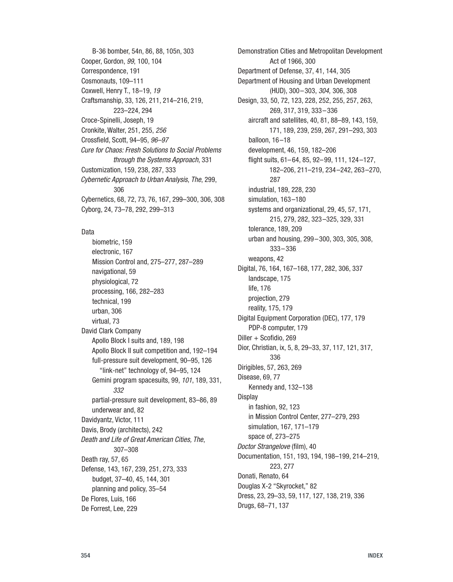B-36 bomber, 54n, 86, 88, 105n, 303 Cooper, Gordon, 99, 100, 104 Correspondence, 191 Cosmonauts, 109–111 Coxwell, Henry T., 18–19, 19 Craftsmanship, 33, 126, 211, 214–216, 219, 223–224, 294 Croce-Spinelli, Joseph, 19 Cronkite, Walter, 251, 255, 256 Crossfield, Scott, 94–95, 96–97 Cure for Chaos: Fresh Solutions to Social Problems through the Systems Approach, 331 Customization, 159, 238, 287, 333 Cybernetic Approach to Urban Analysis, The, 299, 306 Cybernetics, 68, 72, 73, 76, 167, 299–300, 306, 308 Cyborg, 24, 73–78, 292, 299–313

## Data

biometric, 159 electronic, 167 Mission Control and, 275–277, 287–289 navigational, 59 physiological, 72 processing, 166, 282–283 technical, 199 urban, 306 virtual, 73 David Clark Company Apollo Block I suits and, 189, 198 Apollo Block II suit competition and, 192–194 full-pressure suit development, 90–95, 126 "link-net" technology of, 94–95, 124 Gemini program spacesuits, 99, 101, 189, 331, 332 partial-pressure suit development, 83–86, 89 underwear and, 82 Davidyantz, Victor, 111 Davis, Brody (architects), 242 Death and Life of Great American Cities, The, 307–308 Death ray, 57, 65 Defense, 143, 167, 239, 251, 273, 333 budget, 37–40, 45, 144, 301 planning and policy, 35–54 De Flores, Luis, 166 De Forrest, Lee, 229

Demonstration Cities and Metropolitan Development Act of 1966, 300 Department of Defense, 37, 41, 144, 305 Department of Housing and Urban Development (HUD), 300–303, 304, 306, 308 Design, 33, 50, 72, 123, 228, 252, 255, 257, 263, 269, 317, 319, 333–336 aircraft and satellites, 40, 81, 88–89, 143, 159, 171, 189, 239, 259, 267, 291–293, 303 balloon, 16–18 development, 46, 159, 182–206 flight suits, 61–64, 85, 92–99, 111, 124–127, 182–206, 211–219, 234–242, 263–270, 287 industrial, 189, 228, 230 simulation, 163–180 systems and organizational, 29, 45, 57, 171, 215, 279, 282, 323–325, 329, 331 tolerance, 189, 209 urban and housing, 299–300, 303, 305, 308, 333–336 weapons, 42 Digital, 76, 164, 167–168, 177, 282, 306, 337 landscape, 175 life, 176 projection, 279 reality, 175, 179 Digital Equipment Corporation (DEC), 177, 179 PDP-8 computer, 179 Diller + Scofidio, 269 Dior, Christian, ix, 5, 8, 29–33, 37, 117, 121, 317, 336 Dirigibles, 57, 263, 269 Disease, 69, 77 Kennedy and, 132–138 Display in fashion, 92, 123 in Mission Control Center, 277–279, 293 simulation, 167, 171–179 space of, 273–275 Doctor Strangelove (film), 40 Documentation, 151, 193, 194, 198–199, 214–219, 223, 277 Donati, Renato, 64 Douglas X-2 "Skyrocket," 82 Dress, 23, 29–33, 59, 117, 127, 138, 219, 336 Drugs, 68–71, 137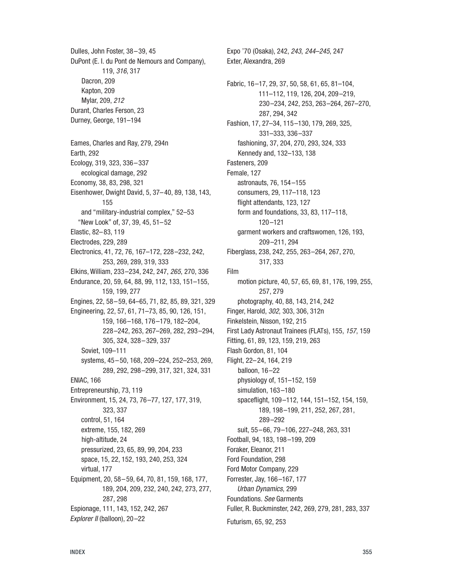Dulles, John Foster, 38–39, 45 DuPont (E. I. du Pont de Nemours and Company), 119, 316, 317 Dacron, 209 Kapton, 209 Mylar, 209, 212 Durant, Charles Ferson, 23 Durney, George, 191–194 Eames, Charles and Ray, 279, 294n Earth, 292 Ecology, 319, 323, 336–337 ecological damage, 292 Economy, 38, 83, 298, 321 Eisenhower, Dwight David, 5, 37–40, 89, 138, 143, 155 and "military-industrial complex," 52–53 "New Look" of, 37, 39, 45, 51–52 Elastic, 82–83, 119 Electrodes, 229, 289 Electronics, 41, 72, 76, 167–172, 228–232, 242, 253, 269, 289, 319, 333 Elkins, William, 233–234, 242, 247, 265, 270, 336 Endurance, 20, 59, 64, 88, 99, 112, 133, 151–155, 159, 199, 277 Engines, 22, 58–59, 64–65, 71, 82, 85, 89, 321, 329 Engineering, 22, 57, 61, 71–73, 85, 90, 126, 151, 159, 166–168, 176–179, 182–204, 228–242, 263, 267–269, 282, 293–294, 305, 324, 328–329, 337 Soviet, 109–111 systems, 45–50, 168, 209–224, 252–253, 269, 289, 292, 298–299, 317, 321, 324, 331 ENIAC, 166 Entrepreneurship, 73, 119 Environment, 15, 24, 73, 76–77, 127, 177, 319, 323, 337 control, 51, 164 extreme, 155, 182, 269 high-altitude, 24 pressurized, 23, 65, 89, 99, 204, 233 space, 15, 22, 152, 193, 240, 253, 324 virtual, 177 Equipment, 20, 58–59, 64, 70, 81, 159, 168, 177, 189, 204, 209, 232, 240, 242, 273, 277, 287, 298 Espionage, 111, 143, 152, 242, 267 Explorer II (balloon), 20–22

Expo '70 (Osaka), 242, 243, 244–245, 247 Exter, Alexandra, 269 Fabric, 16–17, 29, 37, 50, 58, 61, 65, 81–104, 111–112, 119, 126, 204, 209–219, 230–234, 242, 253, 263–264, 267–270, 287, 294, 342 Fashion, 17, 27–34, 115–130, 179, 269, 325, 331–333, 336–337 fashioning, 37, 204, 270, 293, 324, 333 Kennedy and, 132–133, 138 Fasteners, 209 Female, 127 astronauts, 76, 154–155 consumers, 29, 117–118, 123 flight attendants, 123, 127 form and foundations, 33, 83, 117–118, 120–121 garment workers and craftswomen, 126, 193, 209–211, 294 Fiberglass, 238, 242, 255, 263–264, 267, 270, 317, 333 Film motion picture, 40, 57, 65, 69, 81, 176, 199, 255, 257, 279 photography, 40, 88, 143, 214, 242 Finger, Harold, 302, 303, 306, 312n Finkelstein, Nisson, 192, 215 First Lady Astronaut Trainees (FLATs), 155, 157, 159 Fitting, 61, 89, 123, 159, 219, 263 Flash Gordon, 81, 104 Flight, 22–24, 164, 219 balloon, 16–22 physiology of, 151–152, 159 simulation, 163–180 spaceflight, 109–112, 144, 151–152, 154, 159, 189, 198–199, 211, 252, 267, 281, 289–292 suit, 55–66, 79–106, 227–248, 263, 331 Football, 94, 183, 198–199, 209 Foraker, Eleanor, 211 Ford Foundation, 298 Ford Motor Company, 229 Forrester, Jay, 166–167, 177 Urban Dynamics, 299 Foundations. See Garments Fuller, R. Buckminster, 242, 269, 279, 281, 283, 337 Futurism, 65, 92, 253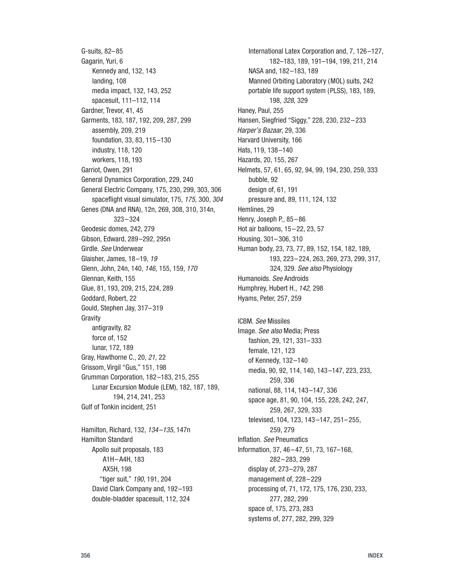G-suits, 82–85 Gagarin, Yuri, 6 Kennedy and, 132, 143 landing, 108 media impact, 132, 143, 252 spacesuit, 111–112, 114 Gardner, Trevor, 41, 45 Garments, 183, 187, 192, 209, 287, 299 assembly, 209, 219 foundation, 33, 83, 115–130 industry, 118, 120 workers, 118, 193 Garriot, Owen, 291 General Dynamics Corporation, 229, 240 General Electric Company, 175, 230, 299, 303, 306 spaceflight visual simulator, 175, 175, 300, 304 Genes (DNA and RNA), 12n, 269, 308, 310, 314n, 323–324 Geodesic domes, 242, 279 Gibson, Edward, 289–292, 295n Girdle. See Underwear Glaisher, James, 18–19, 19 Glenn, John, 24n, 140, 146, 155, 159, 170 Glennan, Keith, 155 Glue, 81, 193, 209, 215, 224, 289 Goddard, Robert, 22 Gould, Stephen Jay, 317–319 Gravity antigravity, 82 force of, 152 lunar, 172, 189 Gray, Hawthorne C., 20, 21, 22 Grissom, Virgil "Gus," 151, 198 Grumman Corporation, 182–183, 215, 255 Lunar Excursion Module (LEM), 182, 187, 189, 194, 214, 241, 253 Gulf of Tonkin incident, 251

Hamilton, Richard, 132, 134–135, 147n Hamilton Standard Apollo suit proposals, 183 A1H–A4H, 183 AX5H, 198 "tiger suit," 190, 191, 204 David Clark Company and, 192–193 double-bladder spacesuit, 112, 324

International Latex Corporation and, 7, 126–127, 182–183, 189, 191–194, 199, 211, 214 NASA and, 182–183, 189 Manned Orbiting Laboratory (MOL) suits, 242 portable life support system (PLSS), 183, 189, 198, 328, 329 Haney, Paul, 255 Hansen, Siegfried "Siggy," 228, 230, 232–233 Harper's Bazaar, 29, 336 Harvard University, 166 Hats, 119, 138–140 Hazards, 20, 155, 267 Helmets, 57, 61, 65, 92, 94, 99, 194, 230, 259, 333 bubble, 92 design of, 61, 191 pressure and, 89, 111, 124, 132 Hemlines, 29 Henry, Joseph P., 85–86 Hot air balloons, 15–22, 23, 57 Housing, 301–306, 310 Human body, 23, 73, 77, 89, 152, 154, 182, 189, 193, 223–224, 263, 269, 273, 299, 317, 324, 329. See also Physiology Humanoids. See Androids Humphrey, Hubert H., 142, 298 Hyams, Peter, 257, 259

ICBM. See Missiles Image. See also Media; Press fashion, 29, 121, 331–333 female, 121, 123 of Kennedy, 132–140 media, 90, 92, 114, 140, 143–147, 223, 233, 259, 336 national, 88, 114, 143–147, 336 space age, 81, 90, 104, 155, 228, 242, 247, 259, 267, 329, 333 televised, 104, 123, 143–147, 251–255, 259, 279 Inflation. See Pneumatics Information, 37, 46–47, 51, 73, 167–168, 282–283, 299 display of, 273–279, 287 management of, 228–229 processing of, 71, 172, 175, 176, 230, 233, 277, 282, 299 space of, 175, 273, 283 systems of, 277, 282, 299, 329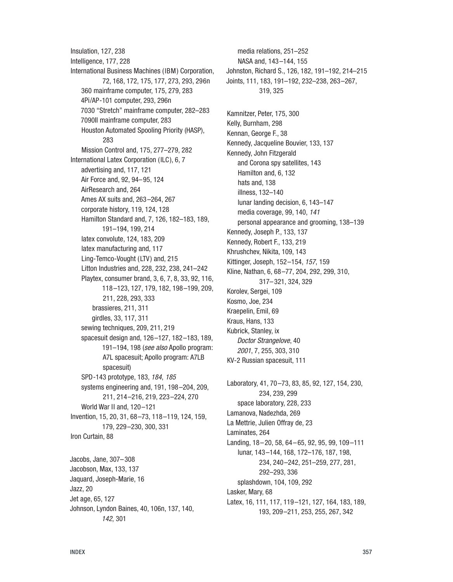Insulation, 127, 238 Intelligence, 177, 228 International Business Machines (IBM) Corporation, 72, 168, 172, 175, 177, 273, 293, 296n 360 mainframe computer, 175, 279, 283 4Pi/AP-101 computer, 293, 296n 7030 "Stretch" mainframe computer, 282–283 7090II mainframe computer, 283 Houston Automated Spooling Priority (HASP), 283 Mission Control and, 175, 277–279, 282 International Latex Corporation (ILC), 6, 7 advertising and, 117, 121 Air Force and, 92, 94–95, 124 AirResearch and, 264 Ames AX suits and, 263–264, 267 corporate history, 119, 124, 128 Hamilton Standard and, 7, 126, 182–183, 189, 191–194, 199, 214 latex convolute, 124, 183, 209 latex manufacturing and, 117 Ling-Temco-Vought (LTV) and, 215 Litton Industries and, 228, 232, 238, 241–242 Playtex, consumer brand, 3, 6, 7, 8, 33, 92, 116, 118–123, 127, 179, 182, 198–199, 209, 211, 228, 293, 333 brassieres, 211, 311 girdles, 33, 117, 311 sewing techniques, 209, 211, 219 spacesuit design and, 126–127, 182–183, 189, 191-194, 198 (see also Apollo program: A7L spacesuit; Apollo program: A7LB spacesuit) SPD-143 prototype, 183, 184, 185 systems engineering and, 191, 198–204, 209, 211, 214–216, 219, 223–224, 270 World War II and, 120–121 Invention, 15, 20, 31, 68–73, 118–119, 124, 159, 179, 229–230, 300, 331 Iron Curtain, 88 Jacobs, Jane, 307–308 Jacobson, Max, 133, 137 Jaquard, Joseph-Marie, 16 Jazz, 20 Jet age, 65, 127 Johnson, Lyndon Baines, 40, 106n, 137, 140, 142, 301

media relations, 251–252 NASA and, 143–144, 155 Johnston, Richard S., 126, 182, 191–192, 214–215 Joints, 111, 183, 191–192, 232–238, 263–267, 319, 325 Kamnitzer, Peter, 175, 300 Kelly, Burnham, 298 Kennan, George F., 38 Kennedy, Jacqueline Bouvier, 133, 137 Kennedy, John Fitzgerald and Corona spy satellites, 143 Hamilton and, 6, 132 hats and, 138 illness, 132–140 lunar landing decision, 6, 143–147 media coverage, 99, 140, 141 personal appearance and grooming, 138–139 Kennedy, Joseph P., 133, 137 Kennedy, Robert F., 133, 219 Khrushchev, Nikita, 109, 143 Kittinger, Joseph, 152–154, 157, 159 Kline, Nathan, 6, 68–77, 204, 292, 299, 310, 317–321, 324, 329 Korolev, Sergei, 109 Kosmo, Joe, 234 Kraepelin, Emil, 69 Kraus, Hans, 133 Kubrick, Stanley, ix Doctor Strangelove, 40 2001, 7, 255, 303, 310 KV-2 Russian spacesuit, 111 Laboratory, 41, 70–73, 83, 85, 92, 127, 154, 230, 234, 239, 299 space laboratory, 228, 233 Lamanova, Nadezhda, 269 La Mettrie, Julien Offray de, 23 Laminates, 264 Landing, 18–20, 58, 64–65, 92, 95, 99, 109–111 lunar, 143–144, 168, 172–176, 187, 198, 234, 240–242, 251–259, 277, 281, 292–293, 336

Lasker, Mary, 68 Latex, 16, 111, 117, 119–121, 127, 164, 183, 189, 193, 209–211, 253, 255, 267, 342

splashdown, 104, 109, 292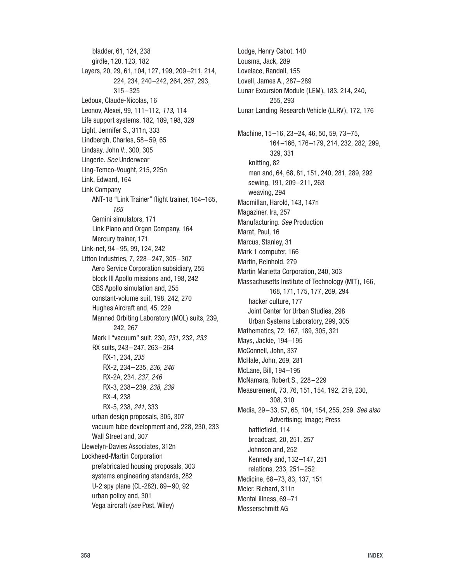bladder, 61, 124, 238 girdle, 120, 123, 182 Layers, 20, 29, 61, 104, 127, 199, 209–211, 214, 224, 234, 240–242, 264, 267, 293, 315–325 Ledoux, Claude-Nicolas, 16 Leonov, Alexei, 99, 111–112, 113, 114 Life support systems, 182, 189, 198, 329 Light, Jennifer S., 311n, 333 Lindbergh, Charles, 58–59, 65 Lindsay, John V., 300, 305 Lingerie. See Underwear Ling-Temco-Vought, 215, 225n Link, Edward, 164 Link Company ANT-18 "Link Trainer" flight trainer, 164–165, 165 Gemini simulators, 171 Link Piano and Organ Company, 164 Mercury trainer, 171 Link-net, 94–95, 99, 124, 242 Litton Industries, 7, 228–247, 305–307 Aero Service Corporation subsidiary, 255 block III Apollo missions and, 198, 242 CBS Apollo simulation and, 255 constant-volume suit, 198, 242, 270 Hughes Aircraft and, 45, 229 Manned Orbiting Laboratory (MOL) suits, 239, 242, 267 Mark I "vacuum" suit, 230, 231, 232, 233 RX suits, 243–247, 263–264 RX-1, 234, 235 RX-2, 234–235, 236, 246 RX-2A, 234, 237, 246 RX-3, 238–239, 238, 239 RX-4, 238 RX-5, 238, 241, 333 urban design proposals, 305, 307 vacuum tube development and, 228, 230, 233 Wall Street and, 307 Llewelyn-Davies Associates, 312n Lockheed-Martin Corporation prefabricated housing proposals, 303 systems engineering standards, 282 U-2 spy plane (CL-282), 89–90, 92 urban policy and, 301 Vega aircraft (see Post, Wiley)

Lodge, Henry Cabot, 140 Lousma, Jack, 289 Lovelace, Randall, 155 Lovell, James A., 287–289 Lunar Excursion Module (LEM), 183, 214, 240, 255, 293 Lunar Landing Research Vehicle (LLRV), 172, 176 Machine, 15–16, 23–24, 46, 50, 59, 73–75, 164–166, 176–179, 214, 232, 282, 299, 329, 331 knitting, 82 man and, 64, 68, 81, 151, 240, 281, 289, 292 sewing, 191, 209–211, 263 weaving, 294 Macmillan, Harold, 143, 147n Magaziner, Ira, 257 Manufacturing. See Production Marat, Paul, 16 Marcus, Stanley, 31 Mark 1 computer, 166 Martin, Reinhold, 279 Martin Marietta Corporation, 240, 303 Massachusetts Institute of Technology (MIT), 166, 168, 171, 175, 177, 269, 294 hacker culture, 177 Joint Center for Urban Studies, 298 Urban Systems Laboratory, 299, 305 Mathematics, 72, 167, 189, 305, 321 Mays, Jackie, 194–195 McConnell, John, 337 McHale, John, 269, 281 McLane, Bill, 194–195 McNamara, Robert S., 228–229 Measurement, 73, 76, 151, 154, 192, 219, 230, 308, 310 Media, 29–33, 57, 65, 104, 154, 255, 259. See also Advertising; Image; Press battlefield, 114 broadcast, 20, 251, 257 Johnson and, 252 Kennedy and, 132–147, 251 relations, 233, 251–252 Medicine, 68–73, 83, 137, 151 Meier, Richard, 311n Mental illness, 69–71 Messerschmitt AG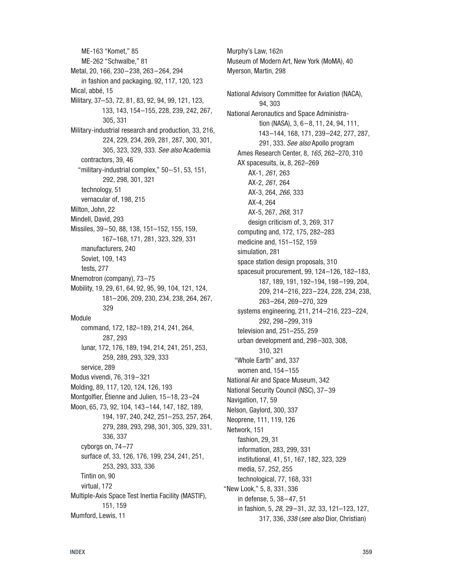ME-163 "Komet," 85 ME-262 "Schwalbe," 81 Metal, 20, 166, 230–238, 263–264, 294 in fashion and packaging, 92, 117, 120, 123 Mical, abbé, 15 Military, 37–53, 72, 81, 83, 92, 94, 99, 121, 123, 133, 143, 154–155, 228, 239, 242, 267, 305, 331 Military-industrial research and production, 33, 216, 224, 229, 234, 269, 281, 287, 300, 301, 305, 323, 329, 333. See also Academia contractors, 39, 46 "military-industrial complex," 50–51, 53, 151, 292, 298, 301, 321 technology, 51 vernacular of, 198, 215 Milton, John, 22 Mindell, David, 293 Missiles, 39–50, 88, 138, 151–152, 155, 159, 167–168, 171, 281, 323, 329, 331 manufacturers, 240 Soviet, 109, 143 tests, 277 Mnemotron (company), 73–75 Mobility, 19, 29, 61, 64, 92, 95, 99, 104, 121, 124, 181–206, 209, 230, 234, 238, 264, 267, 329 Module command, 172, 182–189, 214, 241, 264, 287, 293 lunar, 172, 176, 189, 194, 214, 241, 251, 253, 259, 289, 293, 329, 333 service, 289 Modus vivendi, 76, 319–321 Molding, 89, 117, 120, 124, 126, 193 Montgolfier, Étienne and Julien, 15–18, 23–24 Moon, 65, 73, 92, 104, 143–144, 147, 182, 189, 194, 197, 240, 242, 251–253, 257, 264, 279, 289, 293, 298, 301, 305, 329, 331, 336, 337 cyborgs on, 74–77 surface of, 33, 126, 176, 199, 234, 241, 251, 253, 293, 333, 336 Tintin on, 90 virtual, 172 Multiple-Axis Space Test Inertia Facility (MASTIF), 151, 159 Mumford, Lewis, 11

Myerson, Martin, 298 National Advisory Committee for Aviation (NACA), 94, 303 National Aeronautics and Space Administration (NASA), 3, 6–8, 11, 24, 94, 111, 143–144, 168, 171, 239–242, 277, 287, 291, 333. See also Apollo program Ames Research Center, 8, 165, 262–270, 310 AX spacesuits, ix, 8, 262–269 AX-1, 261, 263 AX-2, 261, 264 AX-3, 264, 266, 333 AX-4, 264 AX-5, 267, 268, 317 design criticism of, 3, 269, 317 computing and, 172, 175, 282–283 medicine and, 151–152, 159 simulation, 281 space station design proposals, 310 spacesuit procurement, 99, 124–126, 182–183, 187, 189, 191, 192–194, 198–199, 204, 209, 214–216, 223–224, 228, 234, 238, 263–264, 269–270, 329 systems engineering, 211, 214–216, 223–224, 292, 298–299, 319 television and, 251–255, 259 urban development and, 298–303, 308, 310, 321 "Whole Earth" and, 337 women and, 154–155 National Air and Space Museum, 342 National Security Council (NSC), 37–39 Navigation, 17, 59 Nelson, Gaylord, 300, 337 Neoprene, 111, 119, 126 Network, 151 fashion, 29, 31 information, 283, 299, 331 institutional, 41, 51, 167, 182, 323, 329 media, 57, 252, 255 technological, 77, 168, 331 "New Look," 5, 8, 331, 336 in defense, 5, 38–47, 51 in fashion, 5, 28, 29–31, 32, 33, 121–123, 127, 317, 336, 338 (see also Dior, Christian)

Murphy's Law, 162n

Museum of Modern Art, New York (MoMA), 40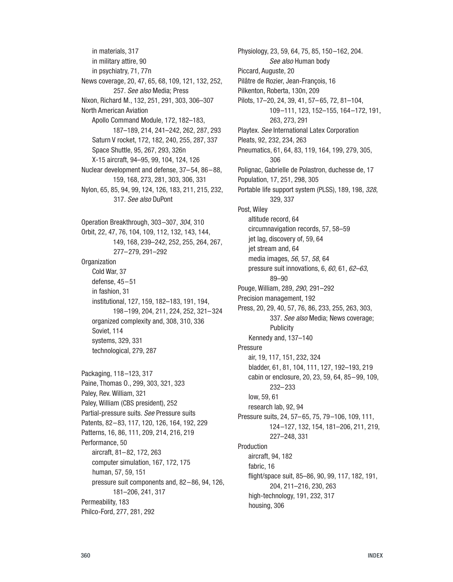in materials, 317 in military attire, 90 in psychiatry, 71, 77n News coverage, 20, 47, 65, 68, 109, 121, 132, 252, 257. See also Media; Press Nixon, Richard M., 132, 251, 291, 303, 306–307 North American Aviation Apollo Command Module, 172, 182–183, 187–189, 214, 241–242, 262, 287, 293 Saturn V rocket, 172, 182, 240, 255, 287, 337 Space Shuttle, 95, 267, 293, 326n X-15 aircraft, 94–95, 99, 104, 124, 126 Nuclear development and defense, 37–54, 86–88, 159, 168, 273, 281, 303, 306, 331 Nylon, 65, 85, 94, 99, 124, 126, 183, 211, 215, 232, 317. See also DuPont Operation Breakthrough, 303–307, 304, 310 Orbit, 22, 47, 76, 104, 109, 112, 132, 143, 144, 149, 168, 239–242, 252, 255, 264, 267, 277–279, 291–292 **Organization** Cold War, 37 defense, 45–51 in fashion, 31 institutional, 127, 159, 182–183, 191, 194, 198–199, 204, 211, 224, 252, 321–324 organized complexity and, 308, 310, 336 Soviet, 114 systems, 329, 331 technological, 279, 287 Packaging, 118–123, 317 Paine, Thomas O., 299, 303, 321, 323 Paley, Rev. William, 321 Paley, William (CBS president), 252 Partial-pressure suits. See Pressure suits

Patents, 82–83, 117, 120, 126, 164, 192, 229 Patterns, 16, 86, 111, 209, 214, 216, 219 Performance, 50 aircraft, 81–82, 172, 263 computer simulation, 167, 172, 175 human, 57, 59, 151 pressure suit components and, 82–86, 94, 126, 181–206, 241, 317 Permeability, 183 Philco-Ford, 277, 281, 292

Physiology, 23, 59, 64, 75, 85, 150–162, 204. See also Human body Piccard, Auguste, 20 Pilâtre de Rozier, Jean-François, 16 Pilkenton, Roberta, 130n, 209 Pilots, 17–20, 24, 39, 41, 57–65, 72, 81–104, 109–111, 123, 152–155, 164–172, 191, 263, 273, 291 Playtex. See International Latex Corporation Pleats, 92, 232, 234, 263 Pneumatics, 61, 64, 83, 119, 164, 199, 279, 305, 306 Polignac, Gabrielle de Polastron, duchesse de, 17 Population, 17, 251, 298, 305 Portable life support system (PLSS), 189, 198, 328, 329, 337 Post, Wiley altitude record, 64 circumnavigation records, 57, 58–59 jet lag, discovery of, 59, 64 jet stream and, 64 media images, 56, 57, 58, 64 pressure suit innovations, 6, 60, 61, 62–63, 89–90 Pouge, William, 289, 290, 291–292 Precision management, 192 Press, 20, 29, 40, 57, 76, 86, 233, 255, 263, 303, 337. See also Media; News coverage; **Publicity** Kennedy and, 137–140 **Pressure** air, 19, 117, 151, 232, 324 bladder, 61, 81, 104, 111, 127, 192–193, 219 cabin or enclosure, 20, 23, 59, 64, 85–99, 109, 232–233 low, 59, 61 research lab, 92, 94 Pressure suits, 24, 57–65, 75, 79–106, 109, 111, 124–127, 132, 154, 181–206, 211, 219, 227–248, 331 Production aircraft, 94, 182 fabric, 16 flight/space suit, 85–86, 90, 99, 117, 182, 191, 204, 211–216, 230, 263 high-technology, 191, 232, 317 housing, 306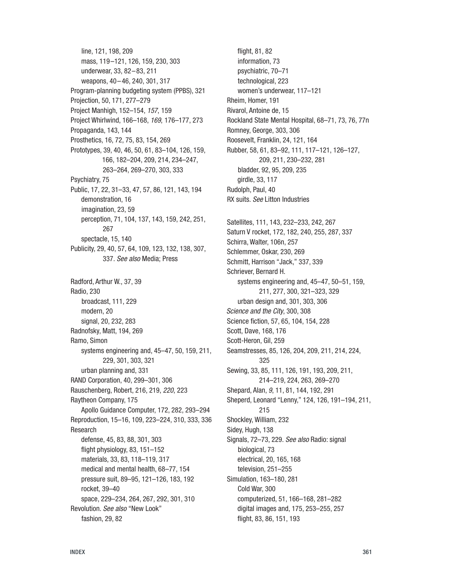line, 121, 198, 209 mass, 119–121, 126, 159, 230, 303 underwear, 33, 82–83, 211 weapons, 40–46, 240, 301, 317 Program-planning budgeting system (PPBS), 321 Projection, 50, 171, 277–279 Project Manhigh, 152–154, 157, 159 Project Whirlwind, 166–168, 169, 176–177, 273 Propaganda, 143, 144 Prosthetics, 16, 72, 75, 83, 154, 269 Prototypes, 39, 40, 46, 50, 61, 83–104, 126, 159, 166, 182–204, 209, 214, 234–247, 263–264, 269–270, 303, 333 Psychiatry, 75 Public, 17, 22, 31–33, 47, 57, 86, 121, 143, 194 demonstration, 16 imagination, 23, 59 perception, 71, 104, 137, 143, 159, 242, 251, 267 spectacle, 15, 140 Publicity, 29, 40, 57, 64, 109, 123, 132, 138, 307, 337. See also Media; Press Radford, Arthur W., 37, 39 Radio, 230 broadcast, 111, 229 modern, 20 signal, 20, 232, 283 Radnofsky, Matt, 194, 269 Ramo, Simon systems engineering and, 45–47, 50, 159, 211, 229, 301, 303, 321 urban planning and, 331 RAND Corporation, 40, 299–301, 306 Rauschenberg, Robert, 216, 219, 220, 223 Raytheon Company, 175 Apollo Guidance Computer, 172, 282, 293–294 Reproduction, 15–16, 109, 223–224, 310, 333, 336 Research defense, 45, 83, 88, 301, 303 flight physiology, 83, 151–152 materials, 33, 83, 118–119, 317 medical and mental health, 68–77, 154 pressure suit, 89–95, 121–126, 183, 192 rocket, 39–40 space, 229–234, 264, 267, 292, 301, 310 Revolution. See also "New Look" fashion, 29, 82

flight, 81, 82 information, 73 psychiatric, 70–71 technological, 223 women's underwear, 117–121 Rheim, Homer, 191 Rivarol, Antoine de, 15 Rockland State Mental Hospital, 68–71, 73, 76, 77n Romney, George, 303, 306 Roosevelt, Franklin, 24, 121, 164 Rubber, 58, 61, 83–92, 111, 117–121, 126–127, 209, 211, 230–232, 281 bladder, 92, 95, 209, 235 girdle, 33, 117 Rudolph, Paul, 40 RX suits. See Litton Industries Satellites, 111, 143, 232–233, 242, 267 Saturn V rocket, 172, 182, 240, 255, 287, 337 Schirra, Walter, 106n, 257 Schlemmer, Oskar, 230, 269 Schmitt, Harrison "Jack," 337, 339 Schriever, Bernard H. systems engineering and, 45–47, 50–51, 159, 211, 277, 300, 321–323, 329 urban design and, 301, 303, 306 Science and the City, 300, 308 Science fiction, 57, 65, 104, 154, 228 Scott, Dave, 168, 176 Scott-Heron, Gil, 259 Seamstresses, 85, 126, 204, 209, 211, 214, 224, 325 Sewing, 33, 85, 111, 126, 191, 193, 209, 211, 214–219, 224, 263, 269–270 Shepard, Alan, 9, 11, 81, 144, 192, 291 Sheperd, Leonard "Lenny," 124, 126, 191–194, 211, 215 Shockley, William, 232 Sidey, Hugh, 138 Signals, 72–73, 229. See also Radio: signal biological, 73 electrical, 20, 165, 168

television, 251–255 Simulation, 163–180, 281 Cold War, 300 computerized, 51, 166–168, 281–282 digital images and, 175, 253–255, 257 flight, 83, 86, 151, 193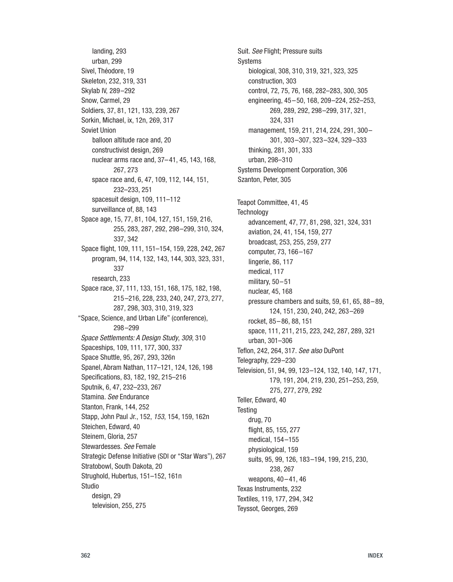landing, 293 urban, 299 Sivel, Théodore, 19 Skeleton, 232, 319, 331 Skylab IV, 289–292 Snow, Carmel, 29 Soldiers, 37, 81, 121, 133, 239, 267 Sorkin, Michael, ix, 12n, 269, 317 Soviet Union balloon altitude race and, 20 constructivist design, 269 nuclear arms race and, 37–41, 45, 143, 168, 267, 273 space race and, 6, 47, 109, 112, 144, 151, 232–233, 251 spacesuit design, 109, 111–112 surveillance of, 88, 143 Space age, 15, 77, 81, 104, 127, 151, 159, 216, 255, 283, 287, 292, 298–299, 310, 324, 337, 342 Space flight, 109, 111, 151–154, 159, 228, 242, 267 program, 94, 114, 132, 143, 144, 303, 323, 331, 337 research, 233 Space race, 37, 111, 133, 151, 168, 175, 182, 198, 215–216, 228, 233, 240, 247, 273, 277, 287, 298, 303, 310, 319, 323 "Space, Science, and Urban Life" (conference), 298–299 Space Settlements: A Design Study, 309, 310 Spaceships, 109, 111, 177, 300, 337 Space Shuttle, 95, 267, 293, 326n Spanel, Abram Nathan, 117–121, 124, 126, 198 Specifications, 83, 182, 192, 215–216 Sputnik, 6, 47, 232–233, 267 Stamina. See Endurance Stanton, Frank, 144, 252 Stapp, John Paul Jr., 152, 153, 154, 159, 162n Steichen, Edward, 40 Steinem, Gloria, 257 Stewardesses. See Female Strategic Defense Initiative (SDI or "Star Wars"), 267 Stratobowl, South Dakota, 20 Strughold, Hubertus, 151–152, 161n Studio desian, 29 television, 255, 275

Suit. See Flight; Pressure suits Systems biological, 308, 310, 319, 321, 323, 325 construction, 303 control, 72, 75, 76, 168, 282–283, 300, 305 engineering, 45–50, 168, 209–224, 252–253, 269, 289, 292, 298–299, 317, 321, 324, 331 management, 159, 211, 214, 224, 291, 300– 301, 303–307, 323–324, 329–333 thinking, 281, 301, 333 urban, 298–310 Systems Development Corporation, 306 Szanton, Peter, 305 Teapot Committee, 41, 45 **Technology** advancement, 47, 77, 81, 298, 321, 324, 331 aviation, 24, 41, 154, 159, 277 broadcast, 253, 255, 259, 277 computer, 73, 166–167 lingerie, 86, 117 medical, 117 military, 50–51 nuclear, 45, 168 pressure chambers and suits, 59, 61, 65, 88–89, 124, 151, 230, 240, 242, 263–269 rocket, 85–86, 88, 151 space, 111, 211, 215, 223, 242, 287, 289, 321 urban, 301–306 Teflon, 242, 264, 317. See also DuPont Telegraphy, 229–230 Television, 51, 94, 99, 123–124, 132, 140, 147, 171, 179, 191, 204, 219, 230, 251–253, 259, 275, 277, 279, 292 Teller, Edward, 40 **Testing** drug, 70 flight, 85, 155, 277 medical, 154–155 physiological, 159 suits, 95, 99, 126, 183–194, 199, 215, 230, 238, 267 weapons, 40–41, 46 Texas Instruments, 232 Textiles, 119, 177, 294, 342 Teyssot, Georges, 269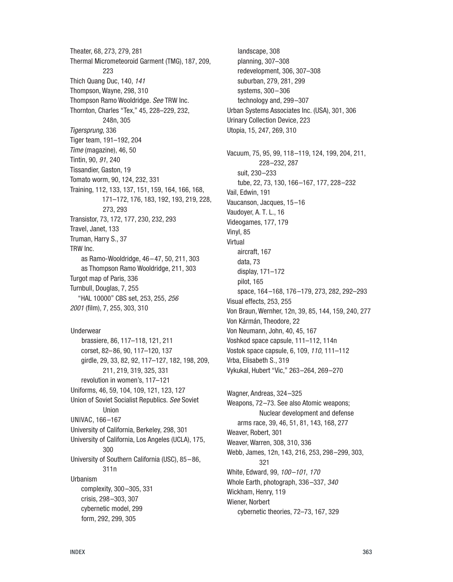Theater, 68, 273, 279, 281 Thermal Micrometeoroid Garment (TMG), 187, 209, 223 Thich Quang Duc, 140, 141 Thompson, Wayne, 298, 310 Thompson Ramo Wooldridge. See TRW Inc. Thornton, Charles "Tex," 45, 228–229, 232, 248n, 305 Tigersprung, 336 Tiger team, 191–192, 204 Time (magazine), 46, 50 Tintin, 90, 91, 240 Tissandier, Gaston, 19 Tomato worm, 90, 124, 232, 331 Training, 112, 133, 137, 151, 159, 164, 166, 168, 171–172, 176, 183, 192, 193, 219, 228, 273, 293 Transistor, 73, 172, 177, 230, 232, 293 Travel, Janet, 133 Truman, Harry S., 37 TRW Inc. as Ramo-Wooldridge, 46–47, 50, 211, 303 as Thompson Ramo Wooldridge, 211, 303 Turgot map of Paris, 336 Turnbull, Douglas, 7, 255 "HAL 10000" CBS set, 253, 255, 256 2001 (film), 7, 255, 303, 310

Underwear brassiere, 86, 117–118, 121, 211 corset, 82–86, 90, 117–120, 137 girdle, 29, 33, 82, 92, 117–127, 182, 198, 209, 211, 219, 319, 325, 331 revolution in women's, 117–121 Uniforms, 46, 59, 104, 109, 121, 123, 127 Union of Soviet Socialist Republics. See Soviet Union UNIVAC, 166–167 University of California, Berkeley, 298, 301 University of California, Los Angeles (UCLA), 175, 300 University of Southern California (USC), 85–86, 311n Urbanism complexity, 300–305, 331 crisis, 298–303, 307 cybernetic model, 299 form, 292, 299, 305

landscape, 308 planning, 307–308 redevelopment, 306, 307–308 suburban, 279, 281, 299 systems, 300–306 technology and, 299–307 Urban Systems Associates Inc. (USA), 301, 306 Urinary Collection Device, 223 Utopia, 15, 247, 269, 310 Vacuum, 75, 95, 99, 118–119, 124, 199, 204, 211, 228–232, 287 suit, 230–233 tube, 22, 73, 130, 166–167, 177, 228–232 Vail, Edwin, 191 Vaucanson, Jacques, 15–16 Vaudoyer, A. T. L., 16 Videogames, 177, 179 Vinyl, 85 Virtual aircraft, 167 data, 73 display, 171–172 pilot, 165 space, 164–168, 176–179, 273, 282, 292–293 Visual effects, 253, 255 Von Braun, Wernher, 12n, 39, 85, 144, 159, 240, 277 Von Kármán, Theodore, 22 Von Neumann, John, 40, 45, 167 Voshkod space capsule, 111–112, 114n Vostok space capsule, 6, 109, 110, 111–112 Vrba, Elisabeth S., 319 Vykukal, Hubert "Vic," 263–264, 269–270 Wagner, Andreas, 324–325 Weapons, 72–73. See also Atomic weapons; Nuclear development and defense arms race, 39, 46, 51, 81, 143, 168, 277 Weaver, Robert, 301 Weaver, Warren, 308, 310, 336 Webb, James, 12n, 143, 216, 253, 298–299, 303, 321

White, Edward, 99, 100–101, 170 Whole Earth, photograph, 336–337, 340 Wickham, Henry, 119 Wiener, Norbert

cybernetic theories, 72–73, 167, 329